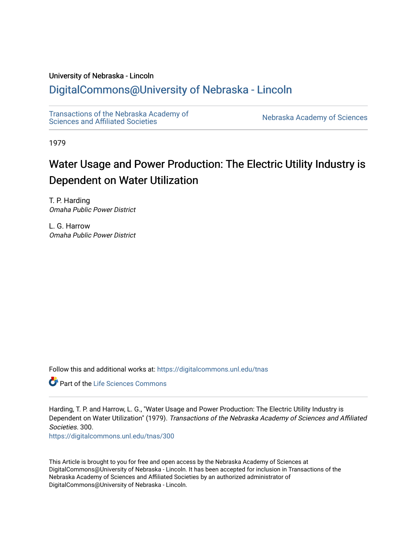#### University of Nebraska - Lincoln

## [DigitalCommons@University of Nebraska - Lincoln](https://digitalcommons.unl.edu/)

[Transactions of the Nebraska Academy of](https://digitalcommons.unl.edu/tnas)  Transactions of the Nebraska Academy of Sciences<br>Sciences and Affiliated Societies

1979

# Water Usage and Power Production: The Electric Utility Industry is Dependent on Water Utilization

T. P. Harding Omaha Public Power District

L. G. Harrow Omaha Public Power District

Follow this and additional works at: [https://digitalcommons.unl.edu/tnas](https://digitalcommons.unl.edu/tnas?utm_source=digitalcommons.unl.edu%2Ftnas%2F300&utm_medium=PDF&utm_campaign=PDFCoverPages) 

**C** Part of the Life Sciences Commons

Harding, T. P. and Harrow, L. G., "Water Usage and Power Production: The Electric Utility Industry is Dependent on Water Utilization" (1979). Transactions of the Nebraska Academy of Sciences and Affiliated Societies. 300.

[https://digitalcommons.unl.edu/tnas/300](https://digitalcommons.unl.edu/tnas/300?utm_source=digitalcommons.unl.edu%2Ftnas%2F300&utm_medium=PDF&utm_campaign=PDFCoverPages) 

This Article is brought to you for free and open access by the Nebraska Academy of Sciences at DigitalCommons@University of Nebraska - Lincoln. It has been accepted for inclusion in Transactions of the Nebraska Academy of Sciences and Affiliated Societies by an authorized administrator of DigitalCommons@University of Nebraska - Lincoln.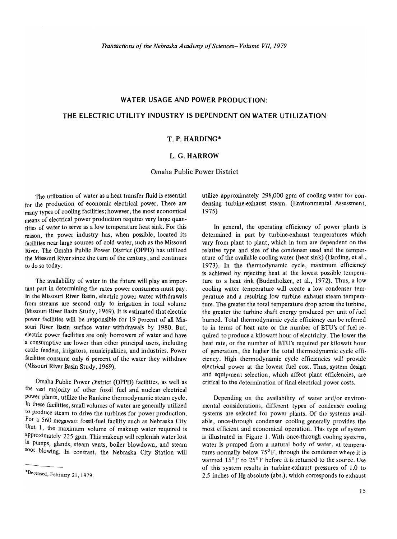### WATER USAGE AND POWER PRODUCTION:

#### THE ELECTRIC UTILITY INDUSTRY IS DEPENDENT ON WATER UTILIZATION

#### T. P. HARDING\*

#### L. G. HARROW

Omaha Public Power District

The utilization of water as a heat transfer fluid is essential for the production of economic electrical power. There are many types of cooling facilities; however, the most economical means of electrical power production requires very large quantities of water to serve as a low temperature heat sink. For this reason, the power industry has, when possible, located its facilities near large sources of cold water, such as the Missouri River. The Omaha Public Power District (OPPD) has utilized the Missouri River since the turn of the century, and continues to do so today.

The availability of water in the future will play an important part in determining the rates power consumers must pay. In the Missouri River Basin, electric power water withdrawals from streams are second only to irrigation in total volume (Missouri River Basin Study, 1969). It is estimated that electric power facilities will be responsible for 19 percent of all Missouri River Basin surface water withdrawals by 1980. But, electric power facilities are only borrowers of water and have a consumptive use lower than other principal users, including cattle feeders, irrigators, municipalities, and industries. Power facilities consume only 6 percent of the water they withdraw (Missouri River Basin Study, 1969).

Omaha Public Power District (OPPD) facilities, as well as the vast majority of other fossil fuel and nuclear electrical power plants, utilize the Rankine thermodynamic steam cycle. In these facilities, small volumes of water are generally utilized to produce steam to drive the turbines for power production. For a 560 megawatt fossil-fuel facility such as Nebraska City Unit 1, the maximum volume of makeup water required is approximately 225 gpm. This makeup will replenish water lost in pumps, glands, steam vents, boiler blowdown, and steam soot blowing. In contrast, the Nebraska City Station will utilize approximately 298,000 gpm of cooling water for condensing turbine-exhaust steam. (Environmental Assessment, 1975)

In general, the operating efficiency of power plants is determined in part by turbine-exhaust temperatures which vary from plant to plant, which in turn are dependent on the relative type and size of the condenser used and the temperature of the available cooling water (heat sink) (Harding, et al., 1973). In the thermodynamic cycle, maximum efficiency is achieved by rejecting heat at the lowest possible temperature to a heat sink (Budenholzer, et al., 1972). Thus, a low cooling water temperature will create a low condenser temperature and a resulting low turbine exhaust steam temperature. The greater the total temperature drop across the turbine, the greater the turbine shaft energy produced per unit of fuel burned. Total thermodynamic cycle efficiency can be referred to in terms of heat rate or the number of BTU's of fuel required to produce a kilowatt hour of electricity. The lower the heat rate, or the number of BTU's required per kilowatt hour of generation, the higher the total thermodynamic cycle efficiency. High thermodynamic cycle efficiencies will provide electrical power at the lowest fuel cost. Thus, system design and equipment selection, which affect plant efficiencies, are critical to the determination of fmal electrical power costs.

Depending on the availability of water and/or environmental considerations, different types of condenser cooling systems are selected for power plants. Of the systems available, once-through condenser cooling generally provides the most efficient and economical operation. This type of system is illustrated in Figure I. With once-through cooling systems, water is pumped from a natural body of water, at temperatures normally below 75°F, through the condenser where it is warmed  $15^{\circ}$ F to  $25^{\circ}$ F before it is returned to the source. Use of this system results in turbine-exhaust pressures of 1.0 to 2.5 inches of Hg absolute (abs.), which corresponds to exhaust

<sup>&#</sup>x27;Deceased, February 21,1979.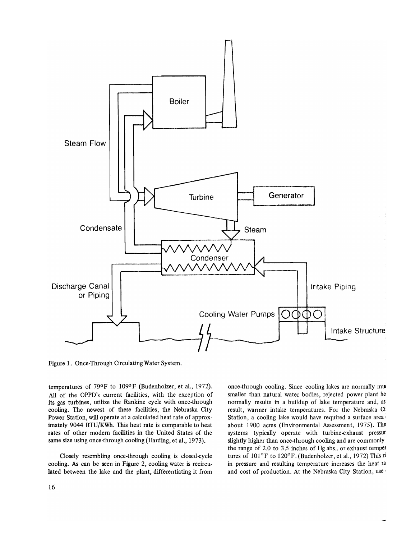

Figure 1. Once-Through Circulating Water System.

temperatures of 79°F to 109°F (Budenholzer, et al., 1972). All of the OPPD's current facilities, with the exception of its gas turbines, utilize the Rankine cycle with once-through cooling. The newest of these facilities, the Nebraska City Power Station, will operate at a calculated heat rate of approximately 9044 BTU/KWh. This heat rate is comparable to heat rates of other modem facilities in the United States of the same size using once-through cooling (Harding, et al., 1973).

Closely resembling once-through cooling is closed-cycle cooling. As can be seen in Figure 2, cooling water is recirculated between the lake and the plant, differentiating it from once-through cooling. Since cooling lakes are normally mw smaller than natural water bodies, rejected power plant he normally results in a buildup of lake temperature and, as result, warmer intake temperatures. For the Nebraska Ci Station, a cooling lake would have required a surface area' about 1900 acres (Environmental Assessment, 1975). The systems typically operate with turbine-exhaust pressur slightly higher than once-through cooling and are commonly the range of 2.0 to 3.5 inches of Hg abs., or exhaust tempel tures of  $101^{\circ}$ F to  $120^{\circ}$ F. (Budenholzer, et al., 1972) This ri in pressure and resulting temperature increases the heat ra and cost of production. At the Nebraska City Station, use'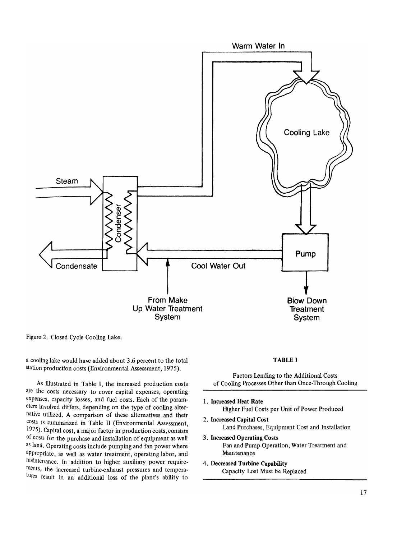

Figure 2. Closed Cycle Cooling Lake.

a cooling lake would have added about 3.6 percent to the total station production costs (Environmental Assessment, 1975).

As illustrated in Table I, the increased production costs are the costs necessary to cover capital expenses, operating expenses, capacity losses, and fuel costs. Each of the parameters involved differs, depending on the type of cooling alternative utilized. A comparison of these alternatives and their costs is summarized in Table II (Environmental Assessment, 1975). Capital cost, a major factor in production costs, consists of costs for the purchase and installation of equipment as well as land. Operating costs include pumping and fan power where appropriate, as well as water treatment, operating labor, and maintenance. In addition to higher auxiliary power requirements, the increased turbine-exhaust pressures and temperatUres result in an additional loss of the plant's ability to

#### TABLE I

Factors Lending to the Additional Costs of Cooling Processes Other than Once-Through Cooling

- 1. Increased Heat Rate Higher Fuel Costs per Unit of Power Produced
- 2. Increased Capital Cost Land Purchases, Equipment Cost and Installation
- 3. Increased Operating Costs Fan and Pump Operation, Water Treatment and Maintenance
- 4. Decreased Turbine Capability Capacity Lost Must be Replaced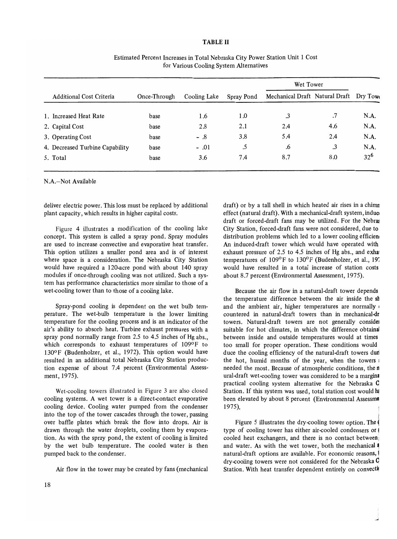#### **TABLE II**

|                                 |              |              |            | Wet Tower                               |     |          |
|---------------------------------|--------------|--------------|------------|-----------------------------------------|-----|----------|
| <b>Additional Cost Criteria</b> | Once-Through | Cooling Lake | Spray Pond | Mechanical Draft Natural Draft Dry Towe |     |          |
|                                 |              |              |            |                                         |     |          |
| 1. Increased Heat Rate          | base         | 1.6          | 1.0        | .3                                      | .7  | N.A.     |
| 2. Capital Cost                 | base         | 2.8          | 2.1        | 2.4                                     | 4.6 | N.A.     |
| 3. Operating Cost               | base         | $-.8$        | 3.8        | 5.4                                     | 2.4 | N.A.     |
| 4. Decreased Turbine Capability | base         | $-.01$       | .5         | .6                                      | .3  | N.A.     |
| 5. Total                        | base         | 3.6          | 7.4        | 8.7                                     | 8.0 | $32^{6}$ |

Estimated Percent Increases in Total Nebraska City Power Station Unit 1 Cost for Various Cooling System Alternatives

N.A.-Not Available

deliver electric power. This loss must be replaced by additional plant capacity, which results in higher capital costs.

Figure 4 illustrates a modification of the cooling lake concept. This system is called a spray pond. Spray modules are used to increase convective and evaporative heat transfer. This option utilizes a smaller pond area and is of interest where space is a consideration. The Nebraska City Station would have required a 120-acre pond with about 140 spray modules if once-through cooling was not utilized. Such a system has performance characteristics more similar to those of a wet-cooling tower than to those of a cooling lake.

Spray-pond cooling is dependent on the wet bulb temperature. The wet-bulb temperature is the lower limiting temperature for the cooling process and is an indicator of the air's ability to absorb heat. Turbine exhaust pressures with a spray pond normally range from 2.5 to 4.5 inches of Hg abs., which corresponds to exhaust temperatures of 109°F to 130°F (Budenholzer, et al., 1972). This option would have resulted in an additional total Nebraska City Station production expense of about 7.4 percent (Environmental Assessment, 1975).

Wet-cooling towers illustrated in Figure 3 are also closed cooling systems. A wet tower is a direct-contact evaporative cooling device. Cooling water pumped from the condenser into the top of the tower cascades through the tower, passing over baffle plates which break the flow into drops. Air is drawn through the water droplets, cooling them by evaporation. As with the spray pond, the extent of cooling is limited by the wet bulb temperature. The cooled water is then pumped back to the condenser.

Air flow in the tower may be created by fans (mechanical

draft) or by a tall shell in which heated air rises in a chimn effect (natural draft). With a mechanical-draft system, induci draft or forced-draft fans may be utilized. For the Nebrat City Station, forced-draft fans were not considered, due to distribution problems which led to a lower cooling efficient An induced-draft tower which would have operated with exhaust pressure of 2.5 to 4.5 inches of Hg abs., and exhal temperatures of 109°F to 130°F (Budenholzer, et al., 19: would have resulted in a total increase of station costs about 8.7 percent (Environmental Assessment, 1975).

Because the air flow in a natural-draft tower depends the temperature difference between the air inside the  $sh$ and the ambient air, higher temperatures are normally countered in natural-draft towers than in mechanical-dr towers. Natural-draft towers are not generally consider suitable for hot climates, in which the difference obtainal between inside and outside temperatures would at times too small for proper operation. These conditions would duce the cooling efficiency of the natural-draft towers duri the hot, humid months of the year, when the towers  $\mathbf{I}$ needed the most. Because of atmospheric conditions, the n ural-draft wet-cooling tower was considered to be a margina practical cooling system alternative for the Nebraska C Station. If this system was used, total station cost would hi been elevated by about 8 percent (Environmental Assessme 1975)\_

Figure 5 illustrates the dry-cooling tower option. The type of cooling tower has either air-cooled condensers or ! cooled heat exchangers, and there is no contact between: and water. As with the wet tower, both the mechanical  $\mathbf{\mathbf{A}}$ natural-draft options are available. For economic reasons, l dry-cooling towers were not considered for the Nebraska **C** Station. With heat transfer dependent entirely on convection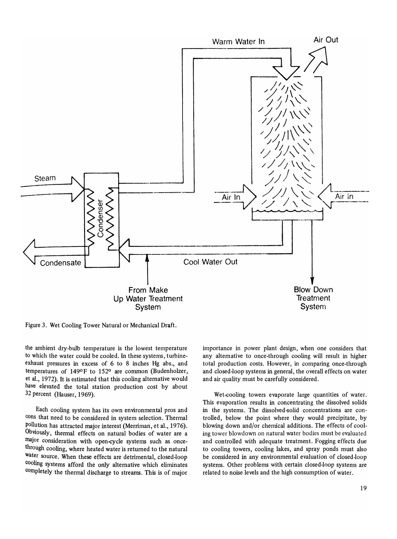

Figure 3. Wet Cooling Tower Natural or Mechanical Draft.

the ambient dry-bulb temperature is the lowest temperature to which the water could be cooled. In these systems, turbineexhaust pressures in excess of 6 to 8 inches Hg abs., and temperatures of 149°F to 152° are common (Budenholzer, et al., 1972). It is estimated that this cooling alternative would have elevated the total station production cost by about 32 percent (Hauser, 1969).

Each cooling system has its own environmental pros and cons that need to be considered in system selection. Thermal pollution has attracted major interest (Merriman, et al., 1976). Obviously, thermal effects on natural bodies of water are a major consideration with open-cycle systems such as oncethrough cooling, where heated water is returned to the natural water source. When these effects are detrimental, closed-loop cooling systems afford the only alternative which eliminates completely the thermal discharge to streams. This is of major importance in power plant design, when one considers that any alternative to once-through cooling will result in higher total production costs. However, in comparing once-through and closed-loop systems in general, the overall effects on water and air quality must be carefully considered.

Wet-cooling towers evaporate large quantities of water. This evaporation results in concentrating the dissolved solids in the systems. The dissolved-solid concentrations are controlled, below the point where they would precipitate, by blowing down and/or chemical additions. The effects of cooling tower blowdown on natural water bodies must be evaluated and controlled with adequate treatment. Fogging effects due to cooling towers, cooling lakes, and spray ponds must also be considered in any environmental evaluation of closed-loop systems. Other problems with certain closed-loop systems are related to noise levels and the high consumption of water.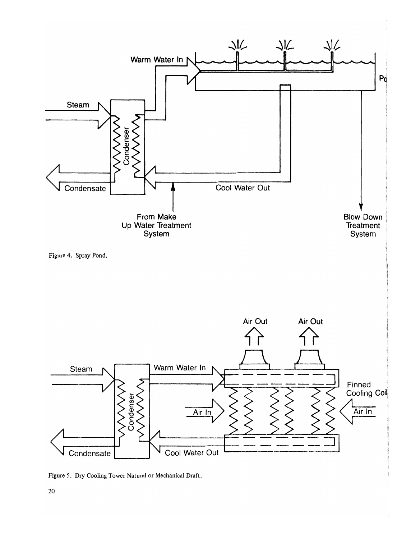

Figure 5. Dry Cooling Tower Natural or Mechanical Draft.

20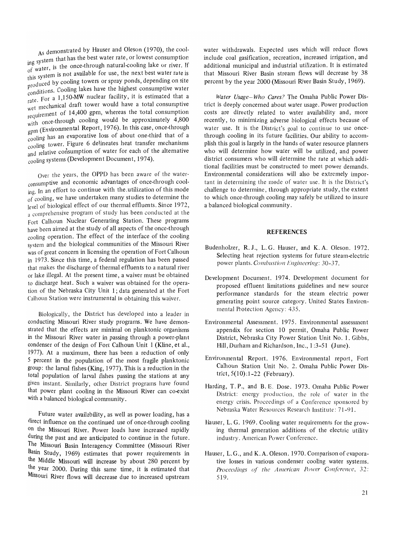As demonstrated by Hauser and Oleson (1970), the cool-As demonstrated by Hauser and Oleson (1970), the cool-<br>ng system that has the best water rate, or lowest consumption<br> $\epsilon$  water, is the once-through natural-cooling lake or river. If IIIg syts refers is the once-through natural-cooling lake or river. If of water, is produced by cooling towers or spray ponds, depending on site<br>conditions. Cooling lakes have the highest consumptive water<br>rate. For a 1,150-MW nuclear facility, it is estimated that a leed by cooling towers of spray polius, depending on site<br>tions. Cooling lakes have the highest consumptive water Oleson (1970), the cool-<br>te, or lowest consumption<br>al-cooling lake or river. If<br>the next best water rate is<br>ponds, depending on site<br>ighest consumptive water<br>ty, it is estimated that a<br>have a total consumptive this system is not available for use, the next best water rate is<br>produced by cooling towers or spray ponds, depending on site<br>conditions. Cooling lakes have the highest consumptive water<br>rate. For a 1,150-MW nuclear facil requirement of 14,400 gpm, whereas the total consumption with once-through cooling would be approximately 4,800 gpm (Environmental Report, 1976). In this case, once-through cooling has an evaporative loss of about one-third that of a cooling tower. Figure 6 delineates heat transfer mechanisms and relative consumption of water for each of the alternative cooling systems (Development Document, 1974).

Over the years, the OPPD has been aware of the waterconsumptive and economic advantages of once-through cooling. In an effort to continue with the. utilization of this mode of cooling, we have undertaken many studies to determine the level of biological effect of our thermal effluents. Since 1972, a comprehensive program of study has been conducted at the Fort Calhoun Nuclear Generating Station. These programs have been aimed at the study of all aspects of the once-through cooling operation. The effect of the interface of the cooling system and the biological communities of the Missouri River was of great concern in licensing the operation of Fort Calhoun in 1973. Since this time, a federal regulation has been passed that makes the discharge of thermal effluents to a natural river or lake illegal. At the present time, a waiver must be obtained to discharge heat. Such a waiver was obtained for the operation of the Nebraska City Unit 1; data generated at the Fort Calhoun Station were instrumental in obtaining this waiver.

Biologically, the District has developed into a leader in conducting Missouri River study programs. We have demonstrated that. the effects are minimal on planktonic organisms in the Missouri River water in passing through a power-plant condenser of the design of Fort Calhoun Unit 1 (Kline, et al., 1977). At a maximum, there has been a reduction of only 5 percent in the population of the most fragile planktonic group: the larval fishes (King, 1977). This is a reduction in the total population of larval fishes passing the stations at any given instant. Similarly, other District programs have found that power plant cooling in the Missouri River can co-exist with a balanced biological community.

Future water availability, as well as power loading, has a direct influence on the continued use of once-through cooling on the Missouri River. Power loads have increased rapidly during the past and are anticipated to continue in the future. The Missouri Basin Interagency Committee (Missouri River Basin Study, 1969) estimates that power requirements in the Middle Missouri will increase by about 280 percent by the year 2000. During this same time, it is estimated that Missouri River flows will decrease due to increased upstream water withdrawals. Expected uses which will reduce flows include coal gasification, recreation, increased irrigation, and additional municipal and industrial utilization. It is estimated that Missouri River Basin stream flows will decrease by 38 percent by the year 2000 (Missouri River Basin Study, 1969).

*Water Usage-Who Cares?* The Omaha Public Power District is deeply concerned about water usage. Power production costs are directly related to water availability and, more recently, to minimizing adverse biological effects because of water use. It is the District's goal to continue to use oncethrough cooling in its future facilities. Our ability to accomplish this goal is largely in the hands of water resource planners who will determine how water will be utilized, and power district consumers who will determine the rate at which additional facilities must be constructed to meet power demands. Environmental considerations will also be extremely important in determining the mode of water use. It is the District's challenge to determine, through appropriate study, the extent to which once-through cooling may safely be utilized to insure a balanced biological community.

#### **REFERENCES**

- Budenholzer, R. J., L. G. Hauser, and K. A. Oleson. 1972. Selecting heat rejection systems for future steam-electric power plants. *Combustion Engineering*: 30-37.
- Development Document. 1974. Development document for proposed effluent limitations guidelines and new source performance standards for the steam electric power generating point source category. United States Environmental Protection Agency: 435.
- Environmental Assessment. 1975. Environmental assessment appendix for section 10 permit, Omaha Public Power District, Nebraska City Power Station Unit No.1. Gibbs, Hill, Durham and Richardson, Inc., 1 :3-51 (June).
- Environmental Report. 1976. Environmental report, Fort Calhoun Station Unit No.2. Omaha Public Power District, 5(10):1-22 (February).
- Harding, T. P., and B. E. Dose. 1973. Omaha Public Power District: energy production, the role of water in the energy crisis. Proceedings of a Conference sponsored by Nebraska Water Resources Research Institute: 71-91.
- Hauser, L. G. 1969. Cooling water requirements for the growing thermal generation additions of the electric utility industry. American Power Conference.
- Hauser, L.G., and K.A. Oleson. 1970. Comparison of evaporative losses in various condenser cooling water systems. Proceedings of the American Power Conference, 32: 519.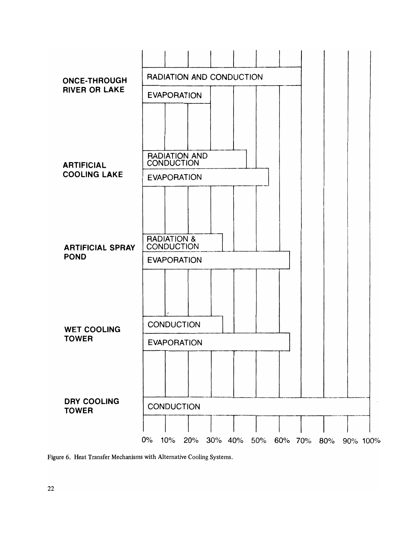

Figure 6. Heat Transfer Mechanisms with Alternative Cooling Systems.

22